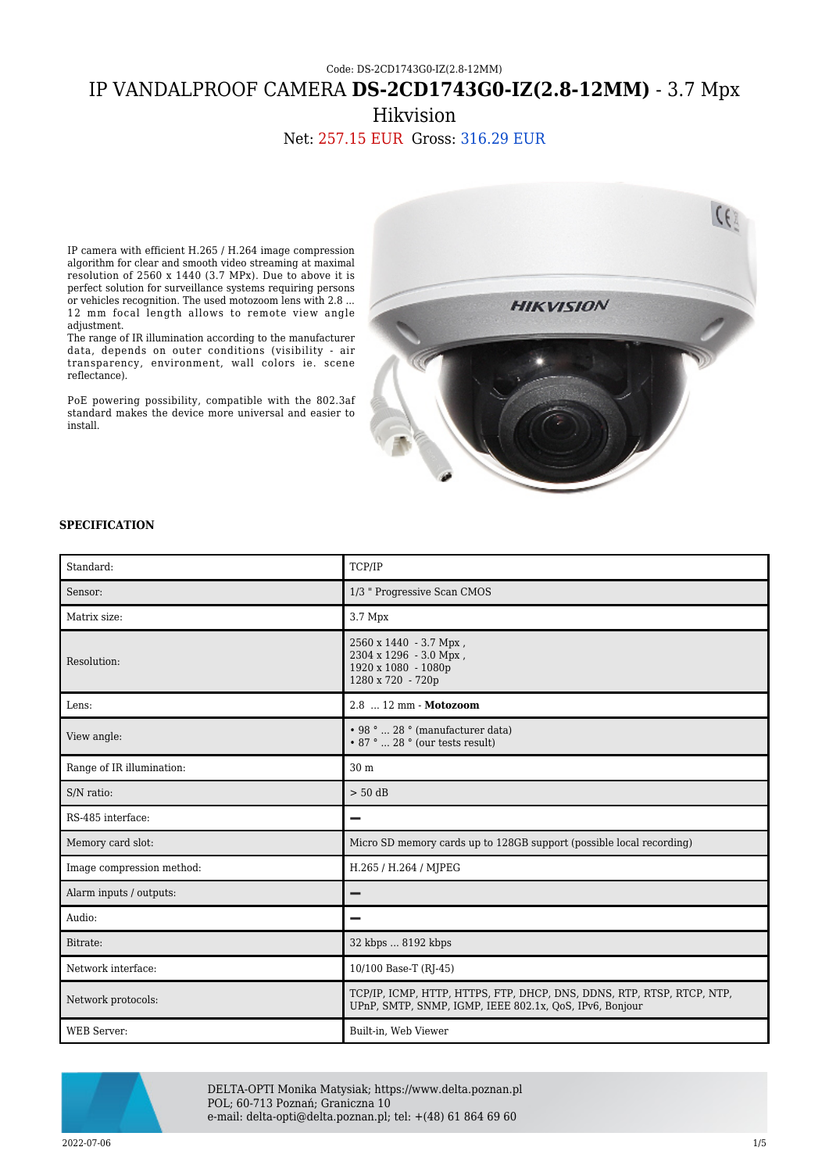## Code: DS-2CD1743G0-IZ(2.8-12MM) IP VANDALPROOF CAMERA **DS-2CD1743G0-IZ(2.8-12MM)** - 3.7 Mpx Hikvision

Net: 257.15 EUR Gross: 316.29 EUR

IP camera with efficient H.265 / H.264 image compression algorithm for clear and smooth video streaming at maximal resolution of 2560 x 1440 (3.7 MPx). Due to above it is perfect solution for surveillance systems requiring persons or vehicles recognition. The used motozoom lens with 2.8 ... 12 mm focal length allows to remote view angle adjustment.

The range of IR illumination according to the manufacturer data, depends on outer conditions (visibility - air transparency, environment, wall colors ie. scene reflectance).

PoE powering possibility, compatible with the 802.3af standard makes the device more universal and easier to install.



## **SPECIFICATION**

| Standard:                 | TCP/IP                                                                                                                            |
|---------------------------|-----------------------------------------------------------------------------------------------------------------------------------|
| Sensor:                   | 1/3 " Progressive Scan CMOS                                                                                                       |
| Matrix size:              | $3.7 \mathrm{Mpx}$                                                                                                                |
| Resolution:               | 2560 x 1440 - 3.7 Mpx,<br>2304 x 1296 - 3.0 Mpx,<br>1920 x 1080 - 1080p<br>1280 x 720 - 720p                                      |
| Lens:                     | 2.8  12 mm - Motozoom                                                                                                             |
| View angle:               | $\cdot$ 98 °  28 ° (manufacturer data)<br>$\cdot$ 87 °  28 ° (our tests result)                                                   |
| Range of IR illumination: | 30 m                                                                                                                              |
| S/N ratio:                | $> 50$ dB                                                                                                                         |
| RS-485 interface:         | -                                                                                                                                 |
| Memory card slot:         | Micro SD memory cards up to 128GB support (possible local recording)                                                              |
| Image compression method: | H.265 / H.264 / MJPEG                                                                                                             |
| Alarm inputs / outputs:   |                                                                                                                                   |
| Audio:                    |                                                                                                                                   |
| Bitrate:                  | 32 kbps  8192 kbps                                                                                                                |
| Network interface:        | 10/100 Base-T (RJ-45)                                                                                                             |
| Network protocols:        | TCP/IP, ICMP, HTTP, HTTPS, FTP, DHCP, DNS, DDNS, RTP, RTSP, RTCP, NTP,<br>UPnP, SMTP, SNMP, IGMP, IEEE 802.1x, QoS, IPv6, Bonjour |
| <b>WEB</b> Server:        | Built-in, Web Viewer                                                                                                              |



DELTA-OPTI Monika Matysiak; https://www.delta.poznan.pl POL; 60-713 Poznań; Graniczna 10 e-mail: delta-opti@delta.poznan.pl; tel: +(48) 61 864 69 60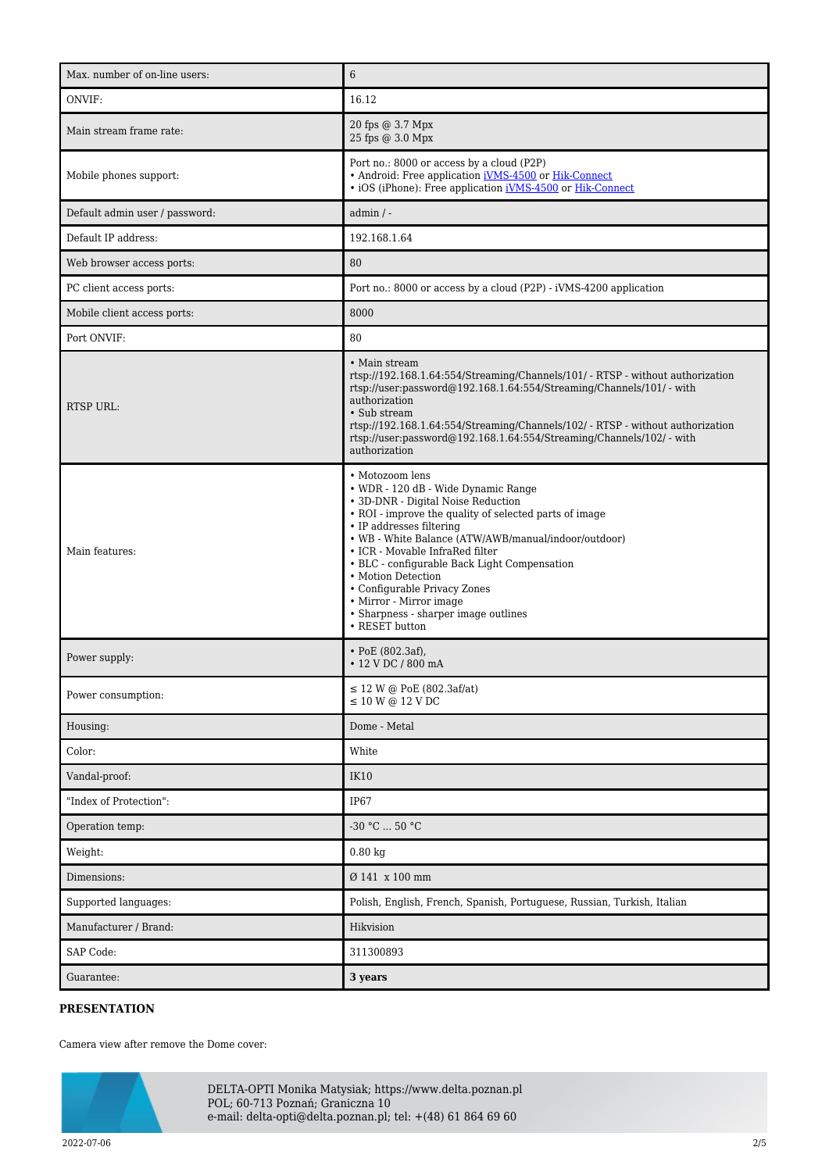| Max. number of on-line users:  | 6                                                                                                                                                                                                                                                                                                                                                                                                                                                                        |
|--------------------------------|--------------------------------------------------------------------------------------------------------------------------------------------------------------------------------------------------------------------------------------------------------------------------------------------------------------------------------------------------------------------------------------------------------------------------------------------------------------------------|
| ONVIF:                         | 16.12                                                                                                                                                                                                                                                                                                                                                                                                                                                                    |
| Main stream frame rate:        | 20 fps @ 3.7 Mpx<br>25 fps @ 3.0 Mpx                                                                                                                                                                                                                                                                                                                                                                                                                                     |
| Mobile phones support:         | Port no.: 8000 or access by a cloud (P2P)<br>• Android: Free application iVMS-4500 or Hik-Connect<br>• iOS (iPhone): Free application iVMS-4500 or Hik-Connect                                                                                                                                                                                                                                                                                                           |
| Default admin user / password: | $admin / -$                                                                                                                                                                                                                                                                                                                                                                                                                                                              |
| Default IP address:            | 192.168.1.64                                                                                                                                                                                                                                                                                                                                                                                                                                                             |
| Web browser access ports:      | 80                                                                                                                                                                                                                                                                                                                                                                                                                                                                       |
| PC client access ports:        | Port no.: 8000 or access by a cloud (P2P) - iVMS-4200 application                                                                                                                                                                                                                                                                                                                                                                                                        |
| Mobile client access ports:    | 8000                                                                                                                                                                                                                                                                                                                                                                                                                                                                     |
| Port ONVIF:                    | 80                                                                                                                                                                                                                                                                                                                                                                                                                                                                       |
| <b>RTSP URL:</b>               | • Main stream<br>rtsp://192.168.1.64:554/Streaming/Channels/101/ - RTSP - without authorization<br>rtsp://user:password@192.168.1.64:554/Streaming/Channels/101/ - with<br>authorization<br>• Sub stream<br>rtsp://192.168.1.64:554/Streaming/Channels/102/ - RTSP - without authorization<br>rtsp://user:password@192.168.1.64:554/Streaming/Channels/102/ - with<br>authorization                                                                                      |
| Main features:                 | • Motozoom lens<br>• WDR - 120 dB - Wide Dynamic Range<br>• 3D-DNR - Digital Noise Reduction<br>• ROI - improve the quality of selected parts of image<br>• IP addresses filtering<br>• WB - White Balance (ATW/AWB/manual/indoor/outdoor)<br>• ICR - Movable InfraRed filter<br>• BLC - configurable Back Light Compensation<br>• Motion Detection<br>• Configurable Privacy Zones<br>• Mirror - Mirror image<br>• Sharpness - sharper image outlines<br>• RESET button |
| Power supply:                  | $\cdot$ PoE (802.3af),<br>• 12 V DC / 800 mA                                                                                                                                                                                                                                                                                                                                                                                                                             |
| Power consumption:             | $\leq$ 12 W @ PoE (802.3af/at)<br>$\leq 10$ W @ 12 V DC                                                                                                                                                                                                                                                                                                                                                                                                                  |
| Housing:                       | Dome - Metal                                                                                                                                                                                                                                                                                                                                                                                                                                                             |
| Color:                         | White                                                                                                                                                                                                                                                                                                                                                                                                                                                                    |
| Vandal-proof:                  | <b>IK10</b>                                                                                                                                                                                                                                                                                                                                                                                                                                                              |
| "Index of Protection":         | IP67                                                                                                                                                                                                                                                                                                                                                                                                                                                                     |
| Operation temp:                | $-30 °C  50 °C$                                                                                                                                                                                                                                                                                                                                                                                                                                                          |
| Weight:                        | $0.80$ kg                                                                                                                                                                                                                                                                                                                                                                                                                                                                |
| Dimensions:                    | Ø 141 x 100 mm                                                                                                                                                                                                                                                                                                                                                                                                                                                           |
| Supported languages:           | Polish, English, French, Spanish, Portuguese, Russian, Turkish, Italian                                                                                                                                                                                                                                                                                                                                                                                                  |
| Manufacturer / Brand:          | Hikvision                                                                                                                                                                                                                                                                                                                                                                                                                                                                |
| SAP Code:                      | 311300893                                                                                                                                                                                                                                                                                                                                                                                                                                                                |
| Guarantee:                     | 3 years                                                                                                                                                                                                                                                                                                                                                                                                                                                                  |

## **PRESENTATION**

Camera view after remove the Dome cover:



DELTA-OPTI Monika Matysiak; https://www.delta.poznan.pl POL; 60-713 Poznań; Graniczna 10 e-mail: delta-opti@delta.poznan.pl; tel: +(48) 61 864 69 60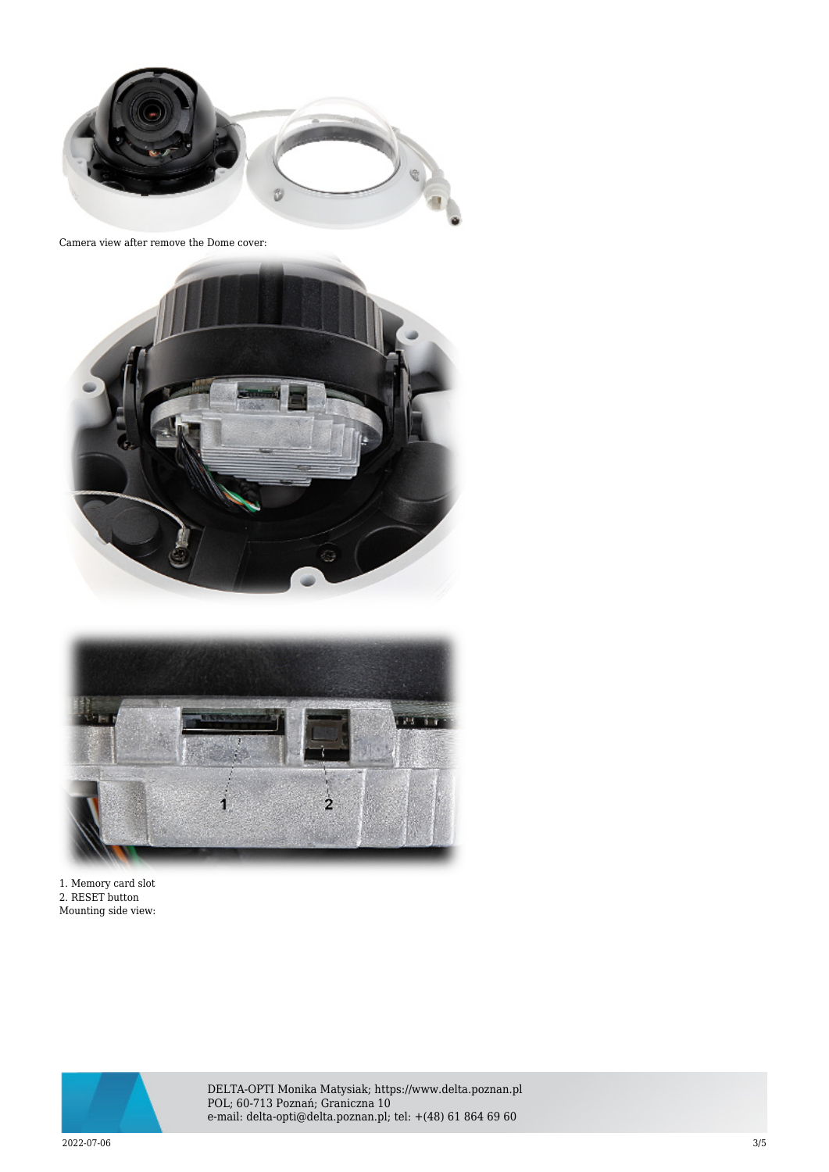

Camera view after remove the Dome cover:





1. Memory card slot 2. RESET button Mounting side view:



DELTA-OPTI Monika Matysiak; https://www.delta.poznan.pl POL; 60-713 Poznań; Graniczna 10 e-mail: delta-opti@delta.poznan.pl; tel: +(48) 61 864 69 60

2022-07-06 3/5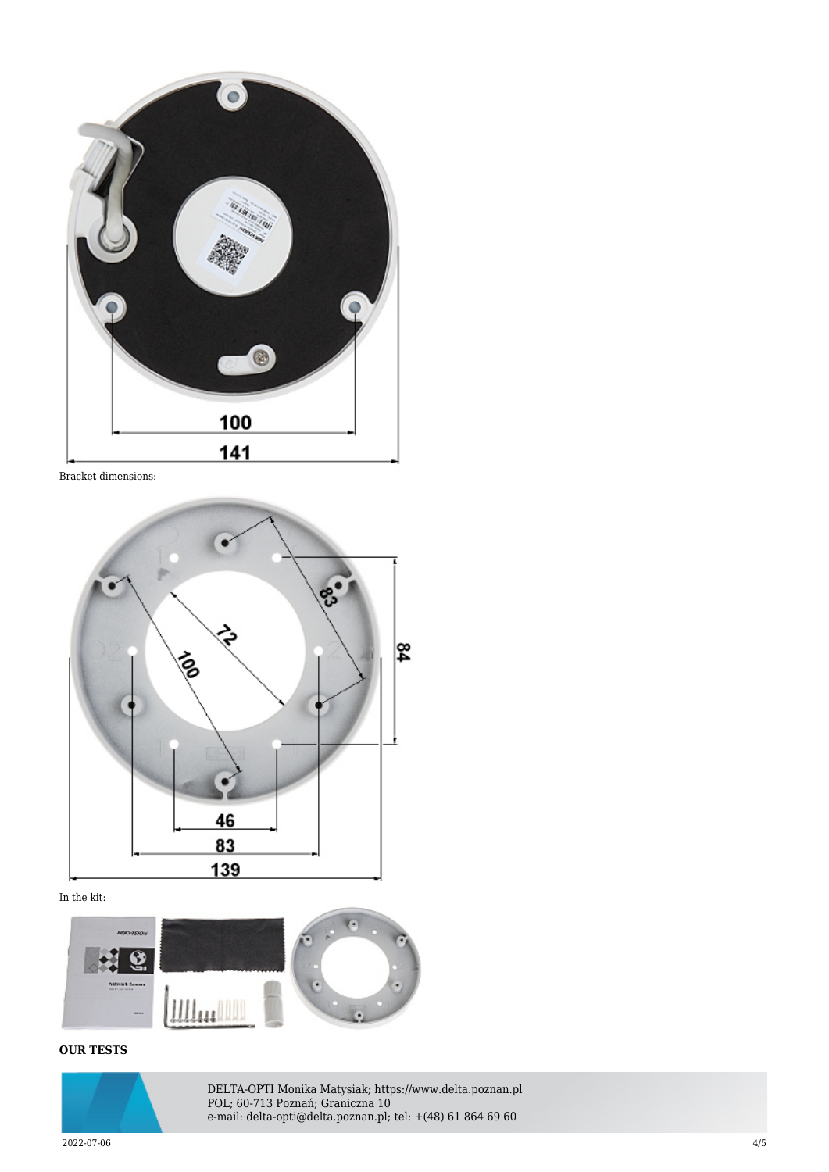

Bracket dimensions:



In the kit:



## **OUR TESTS**



DELTA-OPTI Monika Matysiak; https://www.delta.poznan.pl POL; 60-713 Poznań; Graniczna 10 e-mail: delta-opti@delta.poznan.pl; tel: +(48) 61 864 69 60

2022-07-06 4/5